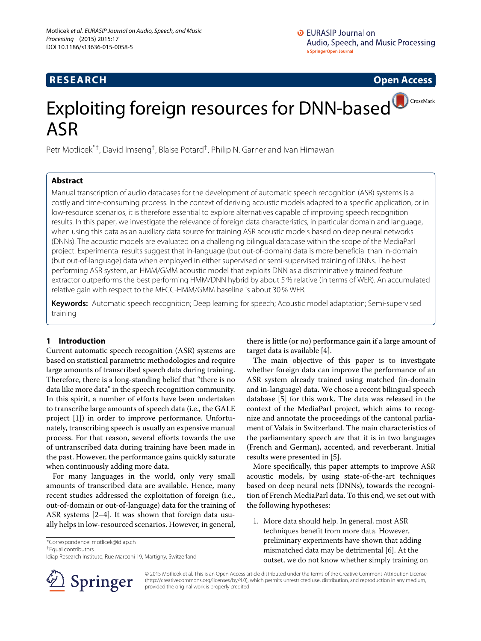# **RESEARCH Open Access**

# Exploiting foreign resources for DNN-base[d](http://crossmark.crossref.org/dialog/?doi=10.1186/s13636-015-0058-5-x&domain=pdf) CrossMark ASR

Petr Motlicek<sup>\*†</sup>, David Imseng<sup>†</sup>, Blaise Potard<sup>†</sup>, Philip N. Garner and Ivan Himawan

## **Abstract**

Manual transcription of audio databases for the development of automatic speech recognition (ASR) systems is a costly and time-consuming process. In the context of deriving acoustic models adapted to a specific application, or in low-resource scenarios, it is therefore essential to explore alternatives capable of improving speech recognition results. In this paper, we investigate the relevance of foreign data characteristics, in particular domain and language, when using this data as an auxiliary data source for training ASR acoustic models based on deep neural networks (DNNs). The acoustic models are evaluated on a challenging bilingual database within the scope of the MediaParl project. Experimental results suggest that in-language (but out-of-domain) data is more beneficial than in-domain (but out-of-language) data when employed in either supervised or semi-supervised training of DNNs. The best performing ASR system, an HMM/GMM acoustic model that exploits DNN as a discriminatively trained feature extractor outperforms the best performing HMM/DNN hybrid by about 5 % relative (in terms of WER). An accumulated relative gain with respect to the MFCC-HMM/GMM baseline is about 30 % WER.

**Keywords:** Automatic speech recognition; Deep learning for speech; Acoustic model adaptation; Semi-supervised training

## **1 Introduction**

Current automatic speech recognition (ASR) systems are based on statistical parametric methodologies and require large amounts of transcribed speech data during training. Therefore, there is a long-standing belief that "there is no data like more data" in the speech recognition community. In this spirit, a number of efforts have been undertaken to transcribe large amounts of speech data (i.e., the GALE project [\[1\]](#page-8-0)) in order to improve performance. Unfortunately, transcribing speech is usually an expensive manual process. For that reason, several efforts towards the use of untranscribed data during training have been made in the past. However, the performance gains quickly saturate when continuously adding more data.

For many languages in the world, only very small amounts of transcribed data are available. Hence, many recent studies addressed the exploitation of foreign (i.e., out-of-domain or out-of-language) data for the training of ASR systems [\[2](#page-8-1)[–4\]](#page-8-2). It was shown that foreign data usually helps in low-resourced scenarios. However, in general,

†Equal contributors



The main objective of this paper is to investigate whether foreign data can improve the performance of an ASR system already trained using matched (in-domain and in-language) data. We chose a recent bilingual speech database [\[5\]](#page-8-3) for this work. The data was released in the context of the MediaParl project, which aims to recognize and annotate the proceedings of the cantonal parliament of Valais in Switzerland. The main characteristics of the parliamentary speech are that it is in two languages (French and German), accented, and reverberant. Initial results were presented in [\[5\]](#page-8-3).

More specifically, this paper attempts to improve ASR acoustic models, by using state-of-the-art techniques based on deep neural nets (DNNs), towards the recognition of French MediaParl data. To this end, we set out with the following hypotheses:

1. More data should help. In general, most ASR techniques benefit from more data. However, preliminary experiments have shown that adding mismatched data may be detrimental [\[6\]](#page-8-4). At the outset, we do not know whether simply training on



© 2015 Motlicek et al. This is an Open Access article distributed under the terms of the Creative Commons Attribution License [\(http://creativecommons.org/licenses/by/4.0\)](http://creativecommons.org/licenses/by/4.0), which permits unrestricted use, distribution, and reproduction in any medium, provided the original work is properly credited.

<sup>\*</sup>Correspondence: [motlicek@idiap.ch](mailto: motlicek@idiap.ch)

Idiap Research Institute, Rue Marconi 19, Martigny, Switzerland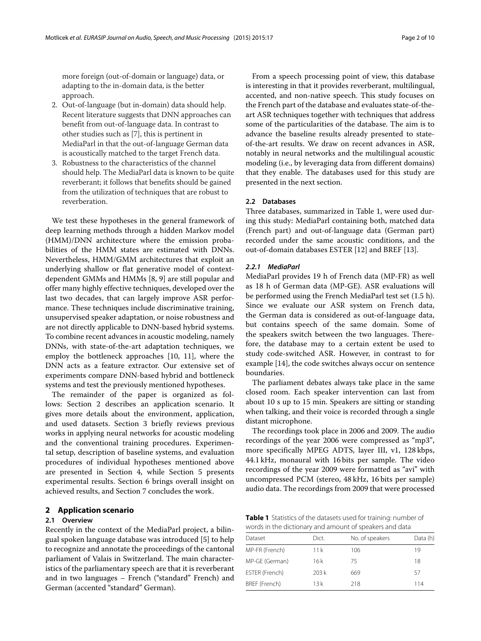more foreign (out-of-domain or language) data, or adapting to the in-domain data, is the better approach.

- 2. Out-of-language (but in-domain) data should help. Recent literature suggests that DNN approaches can benefit from out-of-language data. In contrast to other studies such as [\[7\]](#page-8-5), this is pertinent in MediaParl in that the out-of-language German data is acoustically matched to the target French data.
- 3. Robustness to the characteristics of the channel should help. The MediaParl data is known to be quite reverberant; it follows that benefits should be gained from the utilization of techniques that are robust to reverberation.

We test these hypotheses in the general framework of deep learning methods through a hidden Markov model (HMM)/DNN architecture where the emission probabilities of the HMM states are estimated with DNNs. Nevertheless, HMM/GMM architectures that exploit an underlying shallow or flat generative model of contextdependent GMMs and HMMs [\[8,](#page-8-6) [9\]](#page-8-7) are still popular and offer many highly effective techniques, developed over the last two decades, that can largely improve ASR performance. These techniques include discriminative training, unsupervised speaker adaptation, or noise robustness and are not directly applicable to DNN-based hybrid systems. To combine recent advances in acoustic modeling, namely DNNs, with state-of-the-art adaptation techniques, we employ the bottleneck approaches [\[10,](#page-8-8) [11\]](#page-8-9), where the DNN acts as a feature extractor. Our extensive set of experiments compare DNN-based hybrid and bottleneck systems and test the previously mentioned hypotheses.

The remainder of the paper is organized as follows: Section [2](#page-1-0) describes an application scenario. It gives more details about the environment, application, and used datasets. Section [3](#page-2-0) briefly reviews previous works in applying neural networks for acoustic modeling and the conventional training procedures. Experimental setup, description of baseline systems, and evaluation procedures of individual hypotheses mentioned above are presented in Section [4,](#page-3-0) while Section [5](#page-5-0) presents experimental results. Section [6](#page-6-0) brings overall insight on achieved results, and Section [7](#page-7-0) concludes the work.

## <span id="page-1-0"></span>**2 Application scenario**

#### **2.1 Overview**

Recently in the context of the MediaParl project, a bilingual spoken language database was introduced [\[5\]](#page-8-3) to help to recognize and annotate the proceedings of the cantonal parliament of Valais in Switzerland. The main characteristics of the parliamentary speech are that it is reverberant and in two languages – French ("standard" French) and German (accented "standard" German).

From a speech processing point of view, this database is interesting in that it provides reverberant, multilingual, accented, and non-native speech. This study focuses on the French part of the database and evaluates state-of-theart ASR techniques together with techniques that address some of the particularities of the database. The aim is to advance the baseline results already presented to stateof-the-art results. We draw on recent advances in ASR, notably in neural networks and the multilingual acoustic modeling (i.e., by leveraging data from different domains) that they enable. The databases used for this study are presented in the next section.

## <span id="page-1-2"></span>**2.2 Databases**

Three databases, summarized in Table [1,](#page-1-1) were used during this study: MediaParl containing both, matched data (French part) and out-of-language data (German part) recorded under the same acoustic conditions, and the out-of-domain databases ESTER [\[12\]](#page-8-10) and BREF [\[13\]](#page-8-11).

#### *2.2.1 MediaParl*

MediaParl provides 19 h of French data (MP-FR) as well as 18 h of German data (MP-GE). ASR evaluations will be performed using the French MediaParl test set (1.5 h). Since we evaluate our ASR system on French data, the German data is considered as out-of-language data, but contains speech of the same domain. Some of the speakers switch between the two languages. Therefore, the database may to a certain extent be used to study code-switched ASR. However, in contrast to for example [\[14\]](#page-8-12), the code switches always occur on sentence boundaries.

The parliament debates always take place in the same closed room. Each speaker intervention can last from about 10 s up to 15 min. Speakers are sitting or standing when talking, and their voice is recorded through a single distant microphone.

The recordings took place in 2006 and 2009. The audio recordings of the year 2006 were compressed as "mp3", more specifically MPEG ADTS, layer III, v1, 128 kbps, 44.1 kHz, monaural with 16 bits per sample. The video recordings of the year 2009 were formatted as "avi" with uncompressed PCM (stereo, 48 kHz, 16 bits per sample) audio data. The recordings from 2009 that were processed

**Table 1** Statistics of the datasets used for training: number of words in the dictionary and amount of speakers and data

<span id="page-1-1"></span>

| Dataset        | Dict. | No. of speakers | Data (h) |
|----------------|-------|-----------------|----------|
| MP-FR (French) | 11 k  | 106             | 19       |
| MP-GE (German) | 16k   | 75              | 18       |
| ESTER (French) | 203k  | 669             | 57       |
| BREF (French)  | 13k   | 218             | 114      |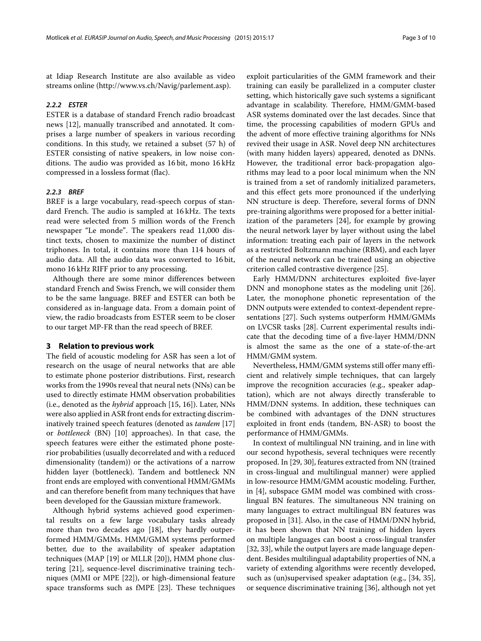at Idiap Research Institute are also available as video streams online [\(http://www.vs.ch/Navig/parlement.asp\)](http://www.vs.ch/Navig/parlement.asp).

## *2.2.2 ESTER*

ESTER is a database of standard French radio broadcast news [\[12\]](#page-8-10), manually transcribed and annotated. It comprises a large number of speakers in various recording conditions. In this study, we retained a subset (57 h) of ESTER consisting of native speakers, in low noise conditions. The audio was provided as 16 bit, mono 16 kHz compressed in a lossless format (flac).

## *2.2.3 BREF*

BREF is a large vocabulary, read-speech corpus of standard French. The audio is sampled at 16 kHz. The texts read were selected from 5 million words of the French newspaper "Le monde". The speakers read 11,000 distinct texts, chosen to maximize the number of distinct triphones. In total, it contains more than 114 hours of audio data. All the audio data was converted to 16 bit, mono 16 kHz RIFF prior to any processing.

Although there are some minor differences between standard French and Swiss French, we will consider them to be the same language. BREF and ESTER can both be considered as in-language data. From a domain point of view, the radio broadcasts from ESTER seem to be closer to our target MP-FR than the read speech of BREF.

#### <span id="page-2-0"></span>**3 Relation to previous work**

The field of acoustic modeling for ASR has seen a lot of research on the usage of neural networks that are able to estimate phone posterior distributions. First, research works from the 1990s reveal that neural nets (NNs) can be used to directly estimate HMM observation probabilities (i.e., denoted as the *hybrid* approach [\[15,](#page-8-13) [16\]](#page-8-14)). Later, NNs were also applied in ASR front ends for extracting discriminatively trained speech features (denoted as *tandem* [\[17\]](#page-8-15) or *bottleneck* (BN) [\[10\]](#page-8-8) approaches). In that case, the speech features were either the estimated phone posterior probabilities (usually decorrelated and with a reduced dimensionality (tandem)) or the activations of a narrow hidden layer (bottleneck). Tandem and bottleneck NN front ends are employed with conventional HMM/GMMs and can therefore benefit from many techniques that have been developed for the Gaussian mixture framework.

Although hybrid systems achieved good experimental results on a few large vocabulary tasks already more than two decades ago [\[18\]](#page-8-16), they hardly outperformed HMM/GMMs. HMM/GMM systems performed better, due to the availability of speaker adaptation techniques (MAP [\[19\]](#page-8-17) or MLLR [\[20\]](#page-8-18)), HMM phone clustering [\[21\]](#page-8-19), sequence-level discriminative training techniques (MMI or MPE [\[22\]](#page-8-20)), or high-dimensional feature space transforms such as fMPE [\[23\]](#page-8-21). These techniques exploit particularities of the GMM framework and their training can easily be parallelized in a computer cluster setting, which historically gave such systems a significant advantage in scalability. Therefore, HMM/GMM-based ASR systems dominated over the last decades. Since that time, the processing capabilities of modern GPUs and the advent of more effective training algorithms for NNs revived their usage in ASR. Novel deep NN architectures (with many hidden layers) appeared, denoted as DNNs. However, the traditional error back-propagation algorithms may lead to a poor local minimum when the NN is trained from a set of randomly initialized parameters, and this effect gets more pronounced if the underlying NN structure is deep. Therefore, several forms of DNN pre-training algorithms were proposed for a better initialization of the parameters [\[24\]](#page-8-22), for example by growing the neural network layer by layer without using the label information: treating each pair of layers in the network as a restricted Boltzmann machine (RBM), and each layer of the neural network can be trained using an objective criterion called contrastive divergence [\[25\]](#page-8-23).

Early HMM/DNN architectures exploited five-layer DNN and monophone states as the modeling unit [\[26\]](#page-8-24). Later, the monophone phonetic representation of the DNN outputs were extended to context-dependent representations [\[27\]](#page-8-25). Such systems outperform HMM/GMMs on LVCSR tasks [\[28\]](#page-8-26). Current experimental results indicate that the decoding time of a five-layer HMM/DNN is almost the same as the one of a state-of-the-art HMM/GMM system.

Nevertheless, HMM/GMM systems still offer many efficient and relatively simple techniques, that can largely improve the recognition accuracies (e.g., speaker adaptation), which are not always directly transferable to HMM/DNN systems. In addition, these techniques can be combined with advantages of the DNN structures exploited in front ends (tandem, BN-ASR) to boost the performance of HMM/GMMs.

In context of multilingual NN training, and in line with our second hypothesis, several techniques were recently proposed. In [\[29,](#page-8-27) [30\]](#page-8-28), features extracted from NN (trained in cross-lingual and multilingual manner) were applied in low-resource HMM/GMM acoustic modeling. Further, in [\[4\]](#page-8-2), subspace GMM model was combined with crosslingual BN features. The simultaneous NN training on many languages to extract multilingual BN features was proposed in [\[31\]](#page-8-29). Also, in the case of HMM/DNN hybrid, it has been shown that NN training of hidden layers on multiple languages can boost a cross-lingual transfer [\[32,](#page-8-30) [33\]](#page-8-31), while the output layers are made language dependent. Besides multilingual adaptability properties of NN, a variety of extending algorithms were recently developed, such as (un)supervised speaker adaptation (e.g., [\[34,](#page-8-32) [35\]](#page-8-33), or sequence discriminative training [\[36\]](#page-8-34), although not yet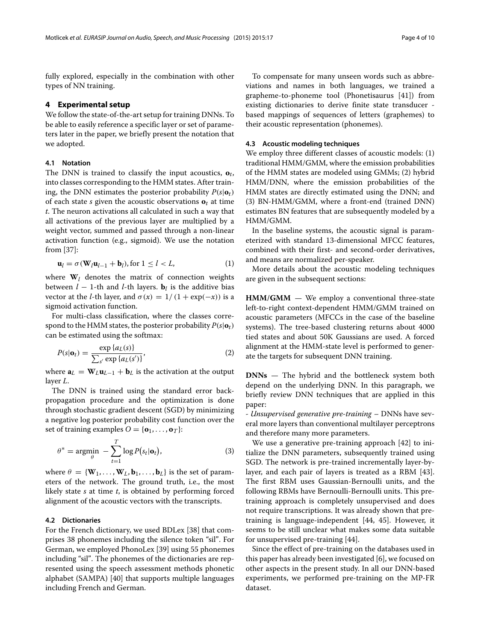fully explored, especially in the combination with other types of NN training.

### <span id="page-3-0"></span>**4 Experimental setup**

We follow the state-of-the-art setup for training DNNs. To be able to easily reference a specific layer or set of parameters later in the paper, we briefly present the notation that we adopted.

## **4.1 Notation**

The DNN is trained to classify the input acoustics,  $\mathbf{o}_t$ , into classes corresponding to the HMM states. After training, the DNN estimates the posterior probability  $P(s|\mathbf{o}_t)$ of each state *s* given the acoustic observations  $\mathbf{o}_t$  at time *t*. The neuron activations all calculated in such a way that all activations of the previous layer are multiplied by a weight vector, summed and passed through a non-linear activation function (e.g., sigmoid). We use the notation from [\[37\]](#page-8-35):

$$
\mathbf{u}_l = \sigma(\mathbf{W}_l \mathbf{u}_{l-1} + \mathbf{b}_l), \text{for } l \le l < L,\tag{1}
$$

where  $W_l$  denotes the matrix of connection weights between  $l - 1$ -th and *l*-th layers. **b**<sub>*l*</sub> is the additive bias vector at the *l*-th layer, and  $\sigma(x) = 1/(1 + \exp(-x))$  is a sigmoid activation function.

For multi-class classification, where the classes correspond to the HMM states, the posterior probability  $P(s|\mathbf{o}_t)$ can be estimated using the softmax:

$$
P(s|\mathbf{o}_t) = \frac{\exp\{a_L(s)\}}{\sum_{s'} \exp\{a_L(s')\}},\tag{2}
$$

where  $\mathbf{a}_L = \mathbf{W}_L \mathbf{u}_{L-1} + \mathbf{b}_L$  is the activation at the output layer *L*.

The DNN is trained using the standard error backpropagation procedure and the optimization is done through stochastic gradient descent (SGD) by minimizing a negative log posterior probability cost function over the set of training examples  $O = \{o_1, \ldots, o_T\}$ :

$$
\theta^* = \underset{\theta}{\text{argmin}} \ - \sum_{t=1}^T \log P(s_t | \mathbf{o}_t), \tag{3}
$$

where  $\theta = {\bf{W}_1, \ldots, \bf{W}_L, \bf{b}_1, \ldots, \bf{b}_L}$  is the set of parameters of the network. The ground truth, i.e., the most likely state *s* at time *t*, is obtained by performing forced alignment of the acoustic vectors with the transcripts.

#### **4.2 Dictionaries**

For the French dictionary, we used BDLex [\[38\]](#page-8-36) that comprises 38 phonemes including the silence token "sil". For German, we employed PhonoLex [\[39\]](#page-8-37) using 55 phonemes including "sil". The phonemes of the dictionaries are represented using the speech assessment methods phonetic alphabet (SAMPA) [\[40\]](#page-8-38) that supports multiple languages including French and German.

To compensate for many unseen words such as abbreviations and names in both languages, we trained a grapheme-to-phoneme tool (Phonetisaurus [\[41\]](#page-8-39)) from existing dictionaries to derive finite state transducer based mappings of sequences of letters (graphemes) to their acoustic representation (phonemes).

## **4.3 Acoustic modeling techniques**

We employ three different classes of acoustic models: (1) traditional HMM/GMM, where the emission probabilities of the HMM states are modeled using GMMs; (2) hybrid HMM/DNN, where the emission probabilities of the HMM states are directly estimated using the DNN; and (3) BN-HMM/GMM, where a front-end (trained DNN) estimates BN features that are subsequently modeled by a HMM/GMM.

In the baseline systems, the acoustic signal is parameterized with standard 13-dimensional MFCC features, combined with their first- and second-order derivatives, and means are normalized per-speaker.

More details about the acoustic modeling techniques are given in the subsequent sections:

**HMM/GMM** — We employ a conventional three-state left-to-right context-dependent HMM/GMM trained on acoustic parameters (MFCCs in the case of the baseline systems). The tree-based clustering returns about 4000 tied states and about 50K Gaussians are used. A forced alignment at the HMM-state level is performed to generate the targets for subsequent DNN training.

**DNNs** — The hybrid and the bottleneck system both depend on the underlying DNN. In this paragraph, we briefly review DNN techniques that are applied in this paper:

*- Unsupervised generative pre-training* – DNNs have several more layers than conventional multilayer perceptrons and therefore many more parameters.

We use a generative pre-training approach [\[42\]](#page-8-40) to initialize the DNN parameters, subsequently trained using SGD. The network is pre-trained incrementally layer-bylayer, and each pair of layers is treated as a RBM [\[43\]](#page-8-41). The first RBM uses Gaussian-Bernoulli units, and the following RBMs have Bernoulli-Bernoulli units. This pretraining approach is completely unsupervised and does not require transcriptions. It was already shown that pretraining is language-independent [\[44,](#page-8-42) [45\]](#page-8-43). However, it seems to be still unclear what makes some data suitable for unsupervised pre-training [\[44\]](#page-8-42).

Since the effect of pre-training on the databases used in this paper has already been investigated [\[6\]](#page-8-4), we focused on other aspects in the present study. In all our DNN-based experiments, we performed pre-training on the MP-FR dataset.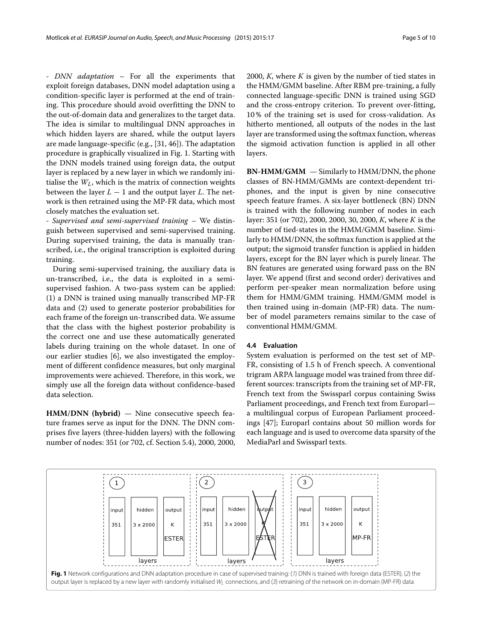*- DNN adaptation* – For all the experiments that exploit foreign databases, DNN model adaptation using a condition-specific layer is performed at the end of training. This procedure should avoid overfitting the DNN to the out-of-domain data and generalizes to the target data. The idea is similar to multilingual DNN approaches in which hidden layers are shared, while the output layers are made language-specific (e.g., [\[31,](#page-8-29) [46\]](#page-8-44)). The adaptation procedure is graphically visualized in Fig. [1.](#page-4-0) Starting with the DNN models trained using foreign data, the output layer is replaced by a new layer in which we randomly initialise the  $W_L$ , which is the matrix of connection weights between the layer  $L - 1$  and the output layer  $L$ . The network is then retrained using the MP-FR data, which most closely matches the evaluation set.

*- Supervised and semi-supervised training* – We distinguish between supervised and semi-supervised training. During supervised training, the data is manually transcribed, i.e., the original transcription is exploited during training.

During semi-supervised training, the auxiliary data is un-transcribed, i.e., the data is exploited in a semisupervised fashion. A two-pass system can be applied: (1) a DNN is trained using manually transcribed MP-FR data and (2) used to generate posterior probabilities for each frame of the foreign un-transcribed data. We assume that the class with the highest posterior probability is the correct one and use these automatically generated labels during training on the whole dataset. In one of our earlier studies [\[6\]](#page-8-4), we also investigated the employment of different confidence measures, but only marginal improvements were achieved. Therefore, in this work, we simply use all the foreign data without confidence-based data selection.

**HMM/DNN (hybrid)** — Nine consecutive speech feature frames serve as input for the DNN. The DNN comprises five layers (three-hidden layers) with the following number of nodes: 351 (or 702, cf. Section [5.4\)](#page-5-1), 2000, 2000, 2000, *K*, where *K* is given by the number of tied states in the HMM/GMM baseline. After RBM pre-training, a fully connected language-specific DNN is trained using SGD and the cross-entropy criterion. To prevent over-fitting, 10 % of the training set is used for cross-validation. As hitherto mentioned, all outputs of the nodes in the last layer are transformed using the softmax function, whereas the sigmoid activation function is applied in all other layers.

**BN-HMM/GMM** — Similarly to HMM/DNN, the phone classes of BN-HMM/GMMs are context-dependent triphones, and the input is given by nine consecutive speech feature frames. A six-layer bottleneck (BN) DNN is trained with the following number of nodes in each layer: 351 (or 702), 2000, 2000, 30, 2000, *K*, where *K* is the number of tied-states in the HMM/GMM baseline. Similarly to HMM/DNN, the softmax function is applied at the output; the sigmoid transfer function is applied in hidden layers, except for the BN layer which is purely linear. The BN features are generated using forward pass on the BN layer. We append (first and second order) derivatives and perform per-speaker mean normalization before using them for HMM/GMM training. HMM/GMM model is then trained using in-domain (MP-FR) data. The number of model parameters remains similar to the case of conventional HMM/GMM.

## **4.4 Evaluation**

System evaluation is performed on the test set of MP-FR, consisting of 1.5 h of French speech. A conventional trigram ARPA language model was trained from three different sources: transcripts from the training set of MP-FR, French text from the Swissparl corpus containing Swiss Parliament proceedings, and French text from Europarl a multilingual corpus of European Parliament proceedings [\[47\]](#page-8-45); Europarl contains about 50 million words for each language and is used to overcome data sparsity of the MediaParl and Swissparl texts.

<span id="page-4-0"></span>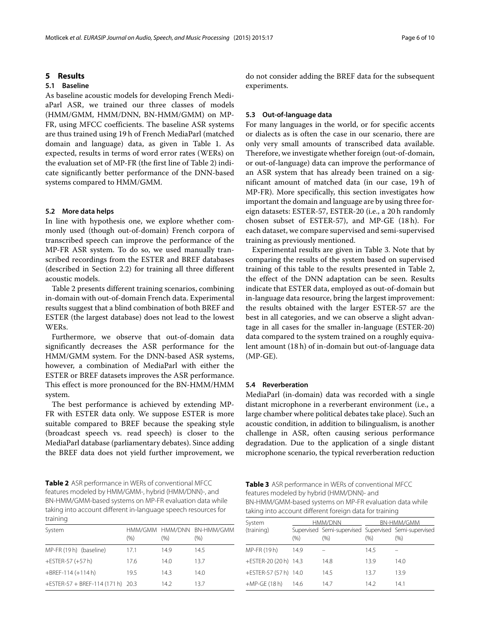## <span id="page-5-0"></span>**5 Results**

## **5.1 Baseline**

As baseline acoustic models for developing French MediaParl ASR, we trained our three classes of models (HMM/GMM, HMM/DNN, BN-HMM/GMM) on MP-FR, using MFCC coefficients. The baseline ASR systems are thus trained using 19 h of French MediaParl (matched domain and language) data, as given in Table [1.](#page-1-1) As expected, results in terms of word error rates (WERs) on the evaluation set of MP-FR (the first line of Table [2\)](#page-5-2) indicate significantly better performance of the DNN-based systems compared to HMM/GMM.

#### **5.2 More data helps**

In line with hypothesis one, we explore whether commonly used (though out-of-domain) French corpora of transcribed speech can improve the performance of the MP-FR ASR system. To do so, we used manually transcribed recordings from the ESTER and BREF databases (described in Section [2.2\)](#page-1-2) for training all three different acoustic models.

Table [2](#page-5-2) presents different training scenarios, combining in-domain with out-of-domain French data. Experimental results suggest that a blind combination of both BREF and ESTER (the largest database) does not lead to the lowest WERs.

Furthermore, we observe that out-of-domain data significantly decreases the ASR performance for the HMM/GMM system. For the DNN-based ASR systems, however, a combination of MediaParl with either the ESTER or BREF datasets improves the ASR performance. This effect is more pronounced for the BN-HMM/HMM system.

The best performance is achieved by extending MP-FR with ESTER data only. We suppose ESTER is more suitable compared to BREF because the speaking style (broadcast speech vs. read speech) is closer to the MediaParl database (parliamentary debates). Since adding the BREF data does not yield further improvement, we

<span id="page-5-2"></span>**Table 2** ASR performance in WERs of conventional MFCC features modeled by HMM/GMM-, hybrid (HMM/DNN)-, and BN-HMM/GMM-based systems on MP-FR evaluation data while taking into account different in-language speech resources for training

| System                            | (% ) | (% ) | HMM/GMM HMM/DNN BN-HMM/GMM<br>(% ) |
|-----------------------------------|------|------|------------------------------------|
| MP-FR (19h) (baseline)            | 17.1 | 14.9 | 14.5                               |
| +ESTER-57 (+57 h)                 | 17.6 | 14.0 | 13.7                               |
| $+BREF-114 (+114 h)$              | 19.5 | 14.3 | 14.0                               |
| +ESTER-57 + BREF-114 (171 h) 20.3 |      | 14.2 | 13.7                               |

do not consider adding the BREF data for the subsequent experiments.

#### **5.3 Out-of-language data**

For many languages in the world, or for specific accents or dialects as is often the case in our scenario, there are only very small amounts of transcribed data available. Therefore, we investigate whether foreign (out-of-domain, or out-of-language) data can improve the performance of an ASR system that has already been trained on a significant amount of matched data (in our case, 19 h of MP-FR). More specifically, this section investigates how important the domain and language are by using three foreign datasets: ESTER-57, ESTER-20 (i.e., a 20 h randomly chosen subset of ESTER-57), and MP-GE (18 h). For each dataset, we compare supervised and semi-supervised training as previously mentioned.

Experimental results are given in Table [3.](#page-5-3) Note that by comparing the results of the system based on supervised training of this table to the results presented in Table [2,](#page-5-2) the effect of the DNN adaptation can be seen. Results indicate that ESTER data, employed as out-of-domain but in-language data resource, bring the largest improvement: the results obtained with the larger ESTER-57 are the best in all categories, and we can observe a slight advantage in all cases for the smaller in-language (ESTER-20) data compared to the system trained on a roughly equivalent amount (18 h) of in-domain but out-of-language data (MP-GE).

## <span id="page-5-1"></span>**5.4 Reverberation**

MediaParl (in-domain) data was recorded with a single distant microphone in a reverberant environment (i.e., a large chamber where political debates take place). Such an acoustic condition, in addition to bilingualism, is another challenge in ASR, often causing serious performance degradation. Due to the application of a single distant microphone scenario, the typical reverberation reduction

<span id="page-5-3"></span>**Table 3** ASR performance in WERs of conventional MFCC features modeled by hybrid (HMM/DNN)- and BN-HMM/GMM-based systems on MP-FR evaluation data while taking into account different foreign data for training

| System                | HMM/DNN |                                                               | <b>BN-HMM/GMM</b> |      |
|-----------------------|---------|---------------------------------------------------------------|-------------------|------|
| (training)            | (% )    | Supervised Semi-supervised Supervised Semi-supervised<br>(% ) | (9/6)             | (96) |
| MP-FR (19h)           | 14.9    |                                                               | 14.5              |      |
| +ESTER-20 (20 h) 14.3 |         | 14.8                                                          | 13.9              | 14.0 |
| +ESTER-57 (57 h) 14.0 |         | 14.5                                                          | 13.7              | 13.9 |
| $+MP-GE(18h)$         | 14.6    | 14.7                                                          | 14.2              | 14.1 |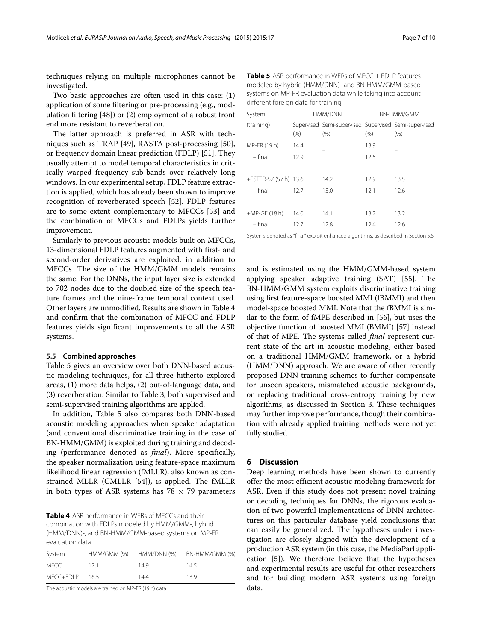techniques relying on multiple microphones cannot be investigated.

Two basic approaches are often used in this case: (1) application of some filtering or pre-processing (e.g., modulation filtering [\[48\]](#page-8-46)) or (2) employment of a robust front end more resistant to reverberation.

The latter approach is preferred in ASR with techniques such as TRAP [\[49\]](#page-8-47), RASTA post-processing [\[50\]](#page-8-48), or frequency domain linear prediction (FDLP) [\[51\]](#page-8-49). They usually attempt to model temporal characteristics in critically warped frequency sub-bands over relatively long windows. In our experimental setup, FDLP feature extraction is applied, which has already been shown to improve recognition of reverberated speech [\[52\]](#page-9-0). FDLP features are to some extent complementary to MFCCs [\[53\]](#page-9-1) and the combination of MFCCs and FDLPs yields further improvement.

Similarly to previous acoustic models built on MFCCs, 13-dimensional FDLP features augmented with first- and second-order derivatives are exploited, in addition to MFCCs. The size of the HMM/GMM models remains the same. For the DNNs, the input layer size is extended to 702 nodes due to the doubled size of the speech feature frames and the nine-frame temporal context used. Other layers are unmodified. Results are shown in Table [4](#page-6-1) and confirm that the combination of MFCC and FDLP features yields significant improvements to all the ASR systems.

#### <span id="page-6-3"></span>**5.5 Combined approaches**

Table [5](#page-6-2) gives an overview over both DNN-based acoustic modeling techniques, for all three hitherto explored areas, (1) more data helps, (2) out-of-language data, and (3) reverberation. Similar to Table [3,](#page-5-3) both supervised and semi-supervised training algorithms are applied.

In addition, Table [5](#page-6-2) also compares both DNN-based acoustic modeling approaches when speaker adaptation (and conventional discriminative training in the case of BN-HMM/GMM) is exploited during training and decoding (performance denoted as *final*). More specifically, the speaker normalization using feature-space maximum likelihood linear regression (fMLLR), also known as constrained MLLR (CMLLR [\[54\]](#page-9-2)), is applied. The fMLLR in both types of ASR systems has  $78 \times 79$  parameters

<span id="page-6-1"></span>**Table 4** ASR performance in WERs of MFCCs and their combination with FDLPs modeled by HMM/GMM-, hybrid (HMM/DNN)-, and BN-HMM/GMM-based systems on MP-FR evaluation data

| System     | HMM/GMM (%) | HMM/DNN (%) | BN-HMM/GMM (%) |
|------------|-------------|-------------|----------------|
| MECC.      | 171         | 149         | 145            |
| MECC+EDI P | 165         | 144         | 139            |

The acoustic models are trained on MP-FR (19 h) data

<span id="page-6-2"></span>modeled by hybrid (HMM/DNN)- and BN-HMM/GMM-based systems on MP-FR evaluation data while taking into account different foreign data for training System HMM/DNN BN-HMM/GMM

**Table 5** ASR performance in WERs of MFCC + FDLP features

| system                | HMM/DNN |                                                               | BN-HMM/GMM |      |
|-----------------------|---------|---------------------------------------------------------------|------------|------|
| (training)            | (% )    | Supervised Semi-supervised Supervised Semi-supervised<br>(% ) | (9/6)      | (% ) |
|                       |         |                                                               |            |      |
| MP-FR (19h)           | 14.4    |                                                               | 13.9       |      |
| $-$ final             | 12.9    |                                                               | 12.5       |      |
|                       |         |                                                               |            |      |
| +ESTER-57 (57 h) 13.6 |         | 14.2                                                          | 12.9       | 13.5 |
| – final               | 12.7    | 13.0                                                          | 12.1       | 12.6 |
|                       |         |                                                               |            |      |
| $+MP-GE(18h)$         | 14.0    | 14.1                                                          | 13.2       | 13.2 |
| $-$ final             | 12.7    | 12.8                                                          | 12.4       | 12.6 |

Systems denoted as "final" exploit enhanced algorithms, as described in Section [5.5](#page-6-3)

and is estimated using the HMM/GMM-based system applying speaker adaptive training (SAT) [\[55\]](#page-9-3). The BN-HMM/GMM system exploits discriminative training using first feature-space boosted MMI (fBMMI) and then model-space boosted MMI. Note that the fBMMI is similar to the form of fMPE described in [\[56\]](#page-9-4), but uses the objective function of boosted MMI (BMMI) [\[57\]](#page-9-5) instead of that of MPE. The systems called *final* represent current state-of-the-art in acoustic modeling, either based on a traditional HMM/GMM framework, or a hybrid (HMM/DNN) approach. We are aware of other recently proposed DNN training schemes to further compensate for unseen speakers, mismatched acoustic backgrounds, or replacing traditional cross-entropy training by new algorithms, as discussed in Section [3.](#page-2-0) These techniques may further improve performance, though their combination with already applied training methods were not yet fully studied.

#### <span id="page-6-0"></span>**6 Discussion**

Deep learning methods have been shown to currently offer the most efficient acoustic modeling framework for ASR. Even if this study does not present novel training or decoding techniques for DNNs, the rigorous evaluation of two powerful implementations of DNN architectures on this particular database yield conclusions that can easily be generalized. The hypotheses under investigation are closely aligned with the development of a production ASR system (in this case, the MediaParl application [\[5\]](#page-8-3)). We therefore believe that the hypotheses and experimental results are useful for other researchers and for building modern ASR systems using foreign data.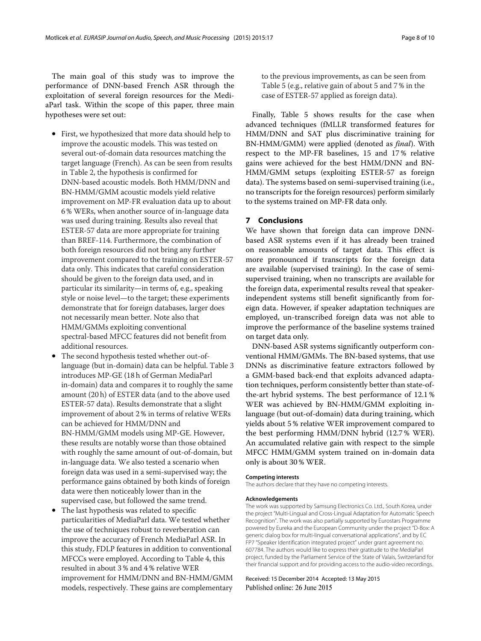The main goal of this study was to improve the performance of DNN-based French ASR through the exploitation of several foreign resources for the MediaParl task. Within the scope of this paper, three main hypotheses were set out:

- First, we hypothesized that more data should help to improve the acoustic models. This was tested on several out-of-domain data resources matching the target language (French). As can be seen from results in Table [2,](#page-5-2) the hypothesis is confirmed for DNN-based acoustic models. Both HMM/DNN and BN-HMM/GMM acoustic models yield relative improvement on MP-FR evaluation data up to about 6 % WERs, when another source of in-language data was used during training. Results also reveal that ESTER-57 data are more appropriate for training than BREF-114. Furthermore, the combination of both foreign resources did not bring any further improvement compared to the training on ESTER-57 data only. This indicates that careful consideration should be given to the foreign data used, and in particular its similarity—in terms of, e.g., speaking style or noise level—to the target; these experiments demonstrate that for foreign databases, larger does not necessarily mean better. Note also that HMM/GMMs exploiting conventional spectral-based MFCC features did not benefit from additional resources.
- The second hypothesis tested whether out-oflanguage (but in-domain) data can be helpful. Table [3](#page-5-3) introduces MP-GE (18 h of German MediaParl in-domain) data and compares it to roughly the same amount (20 h) of ESTER data (and to the above used ESTER-57 data). Results demonstrate that a slight improvement of about 2 % in terms of relative WERs can be achieved for HMM/DNN and BN-HMM/GMM models using MP-GE. However, these results are notably worse than those obtained with roughly the same amount of out-of-domain, but in-language data. We also tested a scenario when foreign data was used in a semi-supervised way; the performance gains obtained by both kinds of foreign data were then noticeably lower than in the supervised case, but followed the same trend.
- The last hypothesis was related to specific particularities of MediaParl data. We tested whether the use of techniques robust to reverberation can improve the accuracy of French MediaParl ASR. In this study, FDLP features in addition to conventional MFCCs were employed. According to Table [4,](#page-6-1) this resulted in about 3 % and 4 % relative WER improvement for HMM/DNN and BN-HMM/GMM models, respectively. These gains are complementary

to the previous improvements, as can be seen from Table [5](#page-6-2) (e.g., relative gain of about 5 and 7 % in the case of ESTER-57 applied as foreign data).

Finally, Table [5](#page-6-2) shows results for the case when advanced techniques (fMLLR transformed features for HMM/DNN and SAT plus discriminative training for BN-HMM/GMM) were applied (denoted as *final*). With respect to the MP-FR baselines, 15 and 17 % relative gains were achieved for the best HMM/DNN and BN-HMM/GMM setups (exploiting ESTER-57 as foreign data). The systems based on semi-supervised training (i.e., no transcripts for the foreign resources) perform similarly to the systems trained on MP-FR data only.

#### <span id="page-7-0"></span>**7 Conclusions**

We have shown that foreign data can improve DNNbased ASR systems even if it has already been trained on reasonable amounts of target data. This effect is more pronounced if transcripts for the foreign data are available (supervised training). In the case of semisupervised training, when no transcripts are available for the foreign data, experimental results reveal that speakerindependent systems still benefit significantly from foreign data. However, if speaker adaptation techniques are employed, un-transcribed foreign data was not able to improve the performance of the baseline systems trained on target data only.

DNN-based ASR systems significantly outperform conventional HMM/GMMs. The BN-based systems, that use DNNs as discriminative feature extractors followed by a GMM-based back-end that exploits advanced adaptation techniques, perform consistently better than state-ofthe-art hybrid systems. The best performance of 12.1 % WER was achieved by BN-HMM/GMM exploiting inlanguage (but out-of-domain) data during training, which yields about 5 % relative WER improvement compared to the best performing HMM/DNN hybrid (12.7 % WER). An accumulated relative gain with respect to the simple MFCC HMM/GMM system trained on in-domain data only is about 30 % WER.

#### **Competing interests**

The authors declare that they have no competing interests.

#### **Acknowledgements**

The work was supported by Samsung Electronics Co. Ltd., South Korea, under the project "Multi-Lingual and Cross-Lingual Adaptation for Automatic Speech Recognition". The work was also partially supported by Eurostars Programme powered by Eureka and the European Community under the project "D-Box: A generic dialog box for multi-lingual conversational applications", and by EC FP7 "Speaker Identification integrated project" under grant agreement no. 607784. The authors would like to express their gratitude to the MediaParl project, funded by the Parliament Service of the State of Valais, Switzerland for their financial support and for providing access to the audio-video recordings.

Received: 15 December 2014 Accepted: 13 May 2015Published online: 26 June 2015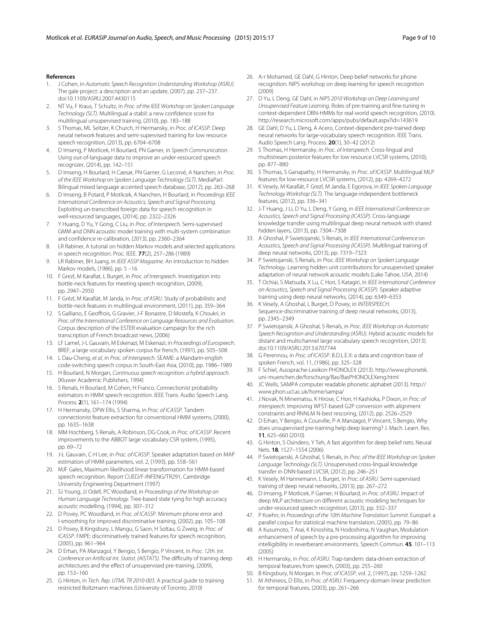#### **References**

- <span id="page-8-0"></span>1. J Cohen, in Automatic Speech Recognition Understanding Workshop (ASRU). The gale project: a description and an update, (2007), pp. 237–237. doi[:10.1109/ASRU.2007.4430115](http://dx.doi.org/10.1109/ASRU.2007.4430115)
- <span id="page-8-1"></span>NT Vu, F Kraus, T Schultz, in Proc. of the IEEE Workshop on Spoken Language Technology (SLT). Multilingual a-stabil: a new confidence score for multilingual unsupervised training, (2010), pp. 183–188
- 3. S Thomas, ML Seltzer, K Church, H Hermansky, in Proc. of ICASSP. Deep neural network features and semi-supervised training for low resource speech recognition, (2013), pp. 6704–6708
- <span id="page-8-2"></span>4. D Imseng, P Motlicek, H Bourlard, PN Garner, in Speech Communication. Using out-of-language data to improve an under-resourced speech recognizer, (2014), pp. 142–151
- <span id="page-8-3"></span>5. D Imseng, H Bourlard, H Caesar, PN Garner, G Lecorvé, A Nanchen, in Proc. of the IEEE Workshop on Spoken Language Technology (SLT). MediaParl: Bilingual mixed language accented speech database, (2012), pp. 263–268
- <span id="page-8-4"></span>6. D Imseng, B Potard, P Motlicek, A Nanchen, H Bourlard, in Proceedings IEEE International Conference on Acoustics, Speech and Signal Processing. Exploiting un-transcribed foreign data for speech recognition in well-resourced languages, (2014), pp. 2322–2326
- <span id="page-8-5"></span>7. Y Huang, D Yu, Y Gong, C Liu, in Proc. of Interspeech. Semi-supervised GMM and DNN acoustic model training with multi-system combination and confidence re-calibration, (2013), pp. 2360–2364
- <span id="page-8-6"></span>8. LR Rabiner, A tutorial on hidden Markov models and selected applications in speech recognition. Proc. IEEE. **77**(2), 257–286 (1989)
- <span id="page-8-7"></span>9. LR Rabiner, BH Juang, in IEEE ASSP Magazine. An introduction to hidden Markov models, (1986), pp. 5 –16
- <span id="page-8-8"></span>10. F Grezl, M Karafiat, L Burget, in Proc. of Interspeech. Investigation into bottle-neck features for meeting speech recognition, (2009), pp. 2947–2950
- <span id="page-8-9"></span>11. F Grézl, M Karafiát, M Janda, in Proc. of ASRU. Study of probabilistic and bottle-neck features in multilingual environment, (2011), pp. 359–364
- <span id="page-8-10"></span>12. S Galliano, E Geoffrois, G Gravier, J-F Bonastre, D Mostefa, K Choukri, in Proc. of the International Conference on Language Resources and Evaluation. Corpus description of the ESTER evaluation campaign for the rich transcription of French broadcast news, (2006)
- <span id="page-8-11"></span>13. LF Lamel, J-L Gauvain, M Eskenazi, M Eskenazi, in Proceedings of Eurospeech. BREF, a large vocabulary spoken corpus for french, (1991), pp. 505–508
- <span id="page-8-12"></span>14. L Dau-Cheng, et al, in Proc. of Interspeech. SEAME: a Mandarin-english code-switching speech corpus in South-East Asia, (2010), pp. 1986–1989
- <span id="page-8-13"></span>15. H Bourlard, N Morgan, Continuous speech recognition: a hybrid approach. (Kluwer Academic Publishers, 1994)
- <span id="page-8-14"></span>16. S Renals, H Bourlard, M Cohen, H Franco, Connectionist probability estimators in HMM speech recognition. IEEE Trans. Audio Speech Lang. Process. **2**(1), 161–174 (1994)
- <span id="page-8-15"></span>17. H Hermansky, DPW Ellis, S Sharma, in Proc. of ICASSP. Tandem connectionist feature extraction for conventional HMM systems, (2000), pp. 1635–1638
- <span id="page-8-16"></span>18. MM Hochberg, S Renals, A Robinson, DG Cook, in Proc. of ICASSP, Recent improvements to the ABBOT large vocabulary CSR system, (1995), pp. 69–72
- <span id="page-8-17"></span>19. J-L Gauvain, C-H Lee, in Proc. of ICASSP. Speaker adaptation based on MAP estimation of HMM parameters, vol. 2, (1993), pp. 558–561
- <span id="page-8-18"></span>20. MJF Gales, Maximum likelihood linear transformation for HMM-based speech recognition. Report CUED/F-INFENG/TR291, Cambridge University Engineering Department (1997)
- <span id="page-8-19"></span>21. SJ Young, JJ Odell, PC Woodland, in Proceedings of the Workshop on Human Language Technology. Tree-based state tying for high accuracy acoustic modelling, (1994), pp. 307–312
- <span id="page-8-20"></span>22. D Povey, PC Woodland, in Proc. of ICASSP. Minimum phone error and I-smoothing for improved discriminative training, (2002), pp. 105–108
- <span id="page-8-21"></span>23. D Povey, B Kingsbury, L Mangu, G Saon, H Soltau, G Zweig, in Proc. of ICASSP. FMPE: discriminatively trained features for speech recognition, (2005), pp. 961–964
- <span id="page-8-22"></span>24. D Erhan, PA Manzagol, Y Bengio, S Bengio, P Vincent, in Proc. 12th. Int. Conference on Artificial Int. Statist. (AISTATS). The difficulty of training deep architectures and the effect of unsupervised pre-training, (2009), pp. 153–160
- <span id="page-8-23"></span>25. G Hinton, in Tech. Rep. UTML TR 2010-003. A practical guide to training restricted Boltzmann machines (University of Toronto, 2010)
- <span id="page-8-24"></span>26. A-r Mohamed, GE Dahl, G Hinton, Deep belief networks for phone recognition. NIPS workshop on deep learning for speech recognition (2009)
- <span id="page-8-25"></span>27. D Yu, L Deng, GE Dahl, in NIPS 2010 Workshop on Deep Learning and Unsupervised Feature Learning. Roles of pre-training and fine-tuning in context-dependent DBN-HMMs for real-world speech recognition, (2010). <http://research.microsoft.com/apps/pubs/default.aspx?id=143619>
- <span id="page-8-26"></span>28. GE Dahl, D Yu, L Deng, A Acero, Context-dependent pre-trained deep neural networks for large-vocabulary speech recognition. IEEE Trans. Audio Speech Lang. Process. **20**(1), 30–42 (2012)
- <span id="page-8-27"></span>29. S Thomas, H Hermansky, in Proc. of Interspeech. Cross-lingual and multistream posterior features for low resource LVCSR systems, (2010), pp. 877–880
- <span id="page-8-28"></span>30. S Thomas, S Ganapathy, H Hermansky, in Proc. of ICASSP. Multilingual MLP features for low-resource LVCSR systems, (2012), pp. 4269–4272
- <span id="page-8-29"></span>31. K Vesely, M Karafiát, F Grezl, M Janda, E Egorova, in IEEE Spoken Language Technology Workshop (SLT). The language-independent bottleneck features, (2012), pp. 336–341
- <span id="page-8-30"></span>32. J-T Huang, J Li, D Yu, L Deng, Y Gong, in IEEE International Conference on Acoustics, Speech and Signal Processing (ICASSP). Cross-language knowledge transfer using multilingual deep neural network with shared hidden layers, (2013), pp. 7304–7308
- <span id="page-8-31"></span>33. A Ghoshal, P Swietojanski, S Renals, in IEEE International Conference on Acoustics, Speech and Signal Processing (ICASSP). Multilingual training of deep neural networks, (2013), pp. 7319–7323
- <span id="page-8-32"></span>34. P Swietojanski, S Renals, in Proc. IEEE Workshop on Spoken Language Technology. Learning hidden unit contributions for unsupervised speaker adaptation of neural network acoustic models (Lake Tahoe, USA, 2014)
- <span id="page-8-33"></span>35. T Ochiai, S Matsuda, X Lu, C Hori, S Katagiri, in IEEE International Conference on Acoustics, Speech and Signal Processing (ICASSP). Speaker adaptive training using deep neural networks, (2014), pp. 6349–6353
- <span id="page-8-34"></span>36. K Vesely, A Ghoshal, L Burget, D Povey, in INTERSPEECH. Sequence-discriminative training of deep neural networks, (2013), pp. 2345–2349
- <span id="page-8-35"></span>37. P Swietojanski, A Ghoshal, S Renals, in Proc. IEEE Workshop on Automatic Speech Recognition and Understanding (ASRU). Hybrid acoustic models for distant and multichannel large vocabulary speech recognition, (2013). doi[:10.1109/ASRU.2013.6707744](http://dx.doi.org/10.1109/ASRU.2013.6707744)
- <span id="page-8-36"></span>38. G Perennou, in Proc. of ICASSP. B.D.L.E.X: a data and cognition base of spoken French, vol. 11, (1986), pp. 325–328
- <span id="page-8-37"></span>39. F Schiel, Aussprache-Lexikon PHONOLEX (2013). [http://www.phonetik.](http://www.phonetik.uni-muenchen.de/forschung/Bas/BasPHONOLEXeng.html) [uni-muenchen.de/forschung/Bas/BasPHONOLEXeng.html](http://www.phonetik.uni-muenchen.de/forschung/Bas/BasPHONOLEXeng.html)
- <span id="page-8-38"></span>40. JC Wells, SAMPA computer readable phonetic alphabet (2013). [http://](http://www.phon.ucl.ac.uk/home/sampa/) [www.phon.ucl.ac.uk/home/sampa/](http://www.phon.ucl.ac.uk/home/sampa/)
- <span id="page-8-39"></span>41. J Novak, N Minematsu, K Hirose, C Hori, H Kashioka, P Dixon, in Proc. of Interspeech. Improving WFST-based G2P conversion with alignment constraints and RNNLM N-best rescoring, (2012), pp. 2526–2529
- <span id="page-8-40"></span>42. D Erhan, Y Bengio, A Courville, P-A Manzagol, P Vincent, S Bengio, Why does unsupervised pre-training help deep learning? J. Mach. Learn. Res. **11**, 625–660 (2010)
- <span id="page-8-41"></span>43. G Hinton, S Osindero, Y Teh, A fast algorithm for deep belief nets. Neural Nets. **18**, 1527–1554 (2006)
- <span id="page-8-42"></span>44. P Swietojanski, A Ghoshal, S Renals, in Proc. of the IEEE Workshop on Spoken Language Technology (SLT). Unsupervised cross-lingual knowledge transfer in DNN-based LVCSR, (2012), pp. 246–251
- <span id="page-8-43"></span>45. K Vesely, M Hannemann, L Burget, in Proc. of ASRU. Semi-supervised training of deep neural networks, (2013), pp. 267–272
- <span id="page-8-44"></span>46. D Imseng, P Motlicek, P Garner, H Bourlard, in Proc. of ASRU. Impact of deep MLP architecture on different acoustic modeling techniques for under-resourced speech recognition, (2013), pp. 332–337
- <span id="page-8-45"></span>47. P Koehn, in Proceedings of the 10th Machine Translation Summit. Europarl: a parallel corpus for statistical machine translation, (2005), pp. 79–86
- <span id="page-8-46"></span>48. A Kusumoto, T Arai, K Kinoshita, N Hodoshima, N Vaughan, Modulation enhancement of speech by a pre-processing algorithm for improving intelligibility in reverberant environments. Speech Commun. **45**, 101–113 (2005)
- <span id="page-8-47"></span>49. H Hermansky, in Proc. of ASRU. Trap-tandem: data-driven extraction of temporal features from speech, (2003), pp. 255–260
- <span id="page-8-48"></span>50. B Kingsbury, N Morgan, in Proc. of ICASSP, vol. 2, (1997), pp. 1259–1262
- <span id="page-8-49"></span>51. M Athineos, D Ellis, in Proc. of ASRU. Frequency-domain linear prediction for temporal features, (2003), pp. 261–266